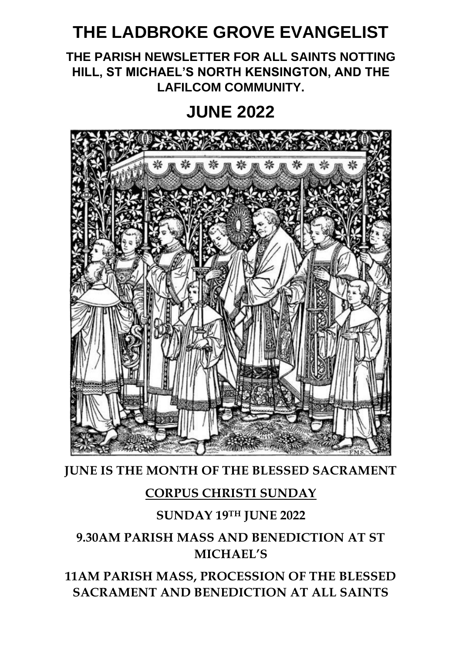# **THE LADBROKE GROVE EVANGELIST**

**THE PARISH NEWSLETTER FOR ALL SAINTS NOTTING HILL, ST MICHAEL'S NORTH KENSINGTON, AND THE LAFILCOM COMMUNITY.**

# **JUNE 2022**



**JUNE IS THE MONTH OF THE BLESSED SACRAMENT**

# **CORPUS CHRISTI SUNDAY**

# **SUNDAY 19TH JUNE 2022**

# **9.30AM PARISH MASS AND BENEDICTION AT ST MICHAEL'S**

**11AM PARISH MASS, PROCESSION OF THE BLESSED SACRAMENT AND BENEDICTION AT ALL SAINTS**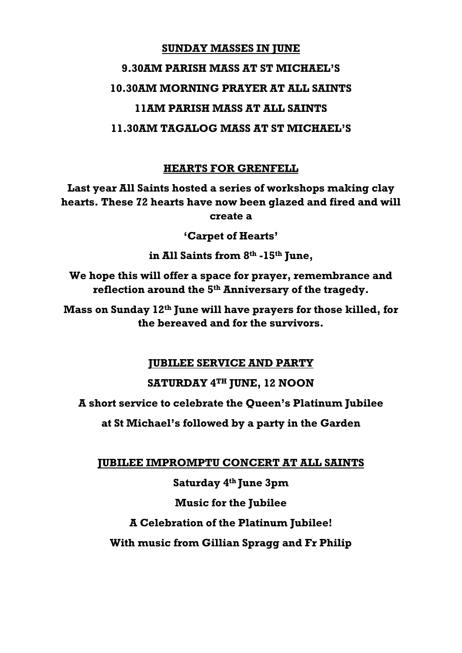# **SUNDAY MASSES IN JUNE 9.30AM PARISH MASS AT ST MICHAEL'S**

#### **10.30AM MORNING PRAYER AT ALL SAINTS**

# **11AM PARISH MASS AT ALL SAINTS**

### **11.30AM TAGALOG MASS AT ST MICHAEL'S**

## **HEARTS FOR GRENFELL**

**Last year All Saints hosted a series of workshops making clay hearts. These 72 hearts have now been glazed and fired and will create a** 

**'Carpet of Hearts'**

**in All Saints from 8th -15th June,**

**We hope this will offer a space for prayer, remembrance and reflection around the 5th Anniversary of the tragedy.**

**Mass on Sunday 12th June will have prayers for those killed, for the bereaved and for the survivors.**

#### **JUBILEE SERVICE AND PARTY**

# **SATURDAY 4TH JUNE, 12 NOON**

**A short service to celebrate the Queen's Platinum Jubilee**

**at St Michael's followed by a party in the Garden**

**JUBILEE IMPROMPTU CONCERT AT ALL SAINTS**

**Saturday 4 th June 3pm**

# **Music for the Jubilee**

**A Celebration of the Platinum Jubilee!**

**With music from Gillian Spragg and Fr Philip**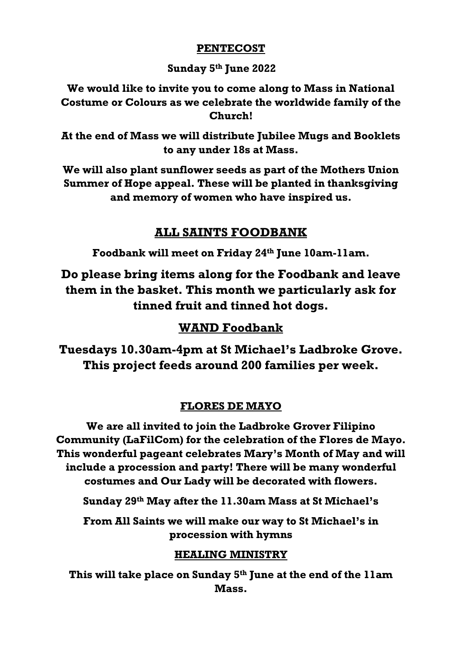#### **PENTECOST**

#### **Sunday 5th June 2022**

**We would like to invite you to come along to Mass in National Costume or Colours as we celebrate the worldwide family of the Church!**

**At the end of Mass we will distribute Jubilee Mugs and Booklets to any under 18s at Mass.**

**We will also plant sunflower seeds as part of the Mothers Union Summer of Hope appeal. These will be planted in thanksgiving and memory of women who have inspired us.**

## **ALL SAINTS FOODBANK**

**Foodbank will meet on Friday 24th June 10am-11am.**

**Do please bring items along for the Foodbank and leave them in the basket. This month we particularly ask for tinned fruit and tinned hot dogs.**

# **WAND Foodbank**

**Tuesdays 10.30am-4pm at St Michael's Ladbroke Grove. This project feeds around 200 families per week.**

#### **FLORES DE MAYO**

**We are all invited to join the Ladbroke Grover Filipino Community (LaFilCom) for the celebration of the Flores de Mayo. This wonderful pageant celebrates Mary's Month of May and will include a procession and party! There will be many wonderful costumes and Our Lady will be decorated with flowers.**

**Sunday 29th May after the 11.30am Mass at St Michael's**

**From All Saints we will make our way to St Michael's in procession with hymns**

#### **HEALING MINISTRY**

**This will take place on Sunday 5th June at the end of the 11am Mass.**